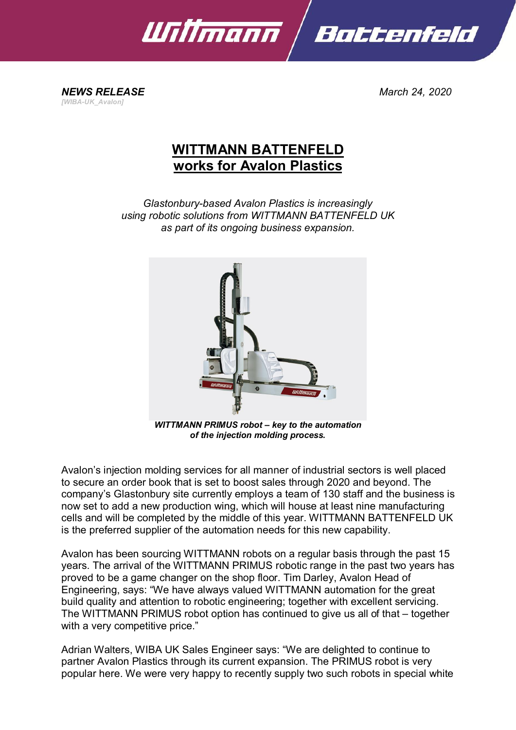

*NEWS RELEASE March 24, 2020 [WIBA-UK\_Avalon]*

## **WITTMANN BATTENFELD works for Avalon Plastics**

*Glastonbury-based Avalon Plastics is increasingly using robotic solutions from WITTMANN BATTENFELD UK as part of its ongoing business expansion.*



*of the injection molding process.*

Avalon's injection molding services for all manner of industrial sectors is well placed to secure an order book that is set to boost sales through 2020 and beyond. The company's Glastonbury site currently employs a team of 130 staff and the business is now set to add a new production wing, which will house at least nine manufacturing cells and will be completed by the middle of this year. WITTMANN BATTENFELD UK is the preferred supplier of the automation needs for this new capability.

Avalon has been sourcing WITTMANN robots on a regular basis through the past 15 years. The arrival of the WITTMANN PRIMUS robotic range in the past two years has proved to be a game changer on the shop floor. Tim Darley, Avalon Head of Engineering, says: "We have always valued WITTMANN automation for the great build quality and attention to robotic engineering; together with excellent servicing. The WITTMANN PRIMUS robot option has continued to give us all of that – together with a very competitive price."

Adrian Walters, WIBA UK Sales Engineer says: "We are delighted to continue to partner Avalon Plastics through its current expansion. The PRIMUS robot is very popular here. We were very happy to recently supply two such robots in special white